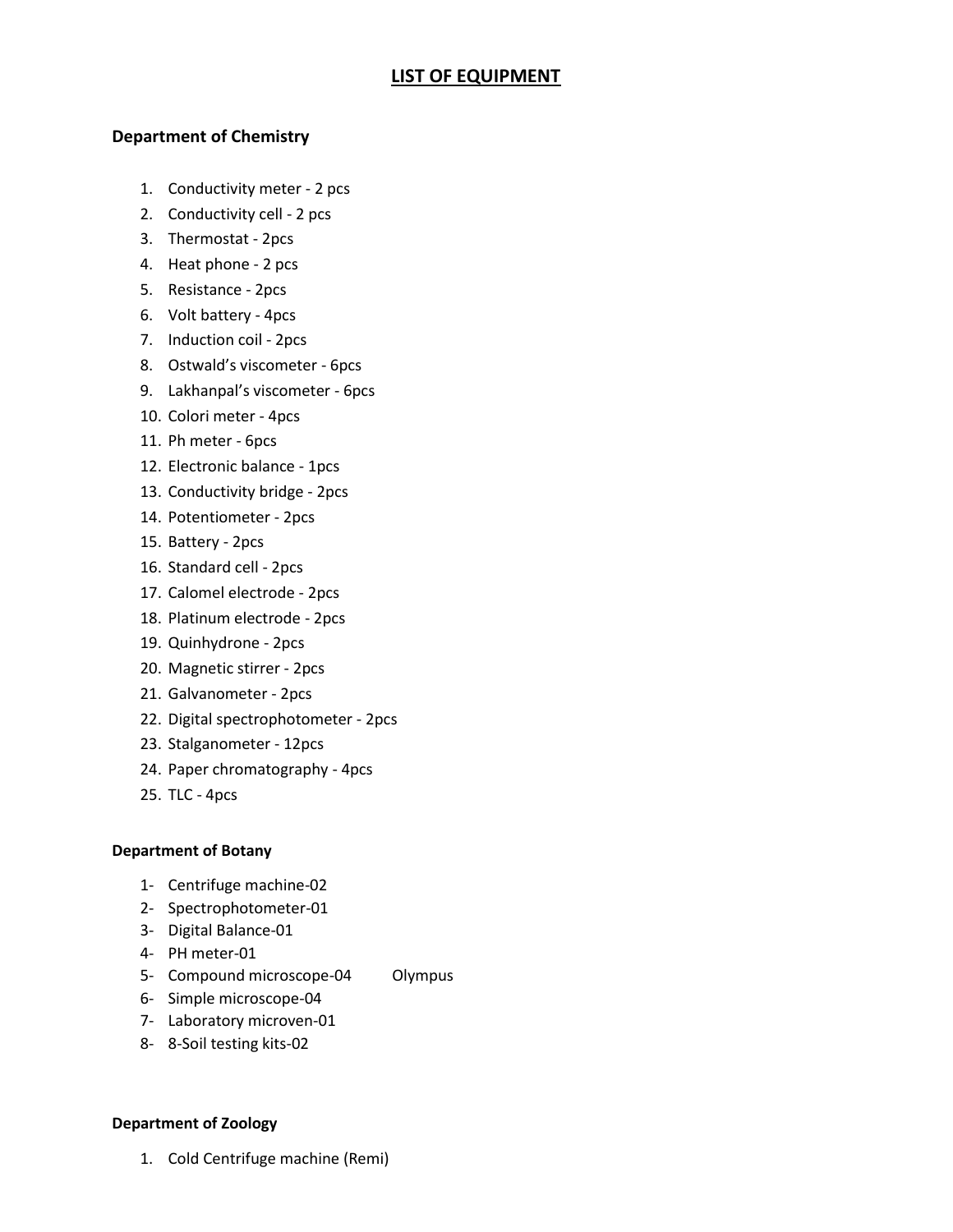# **LIST OF EQUIPMENT**

## **Department of Chemistry**

- 1. Conductivity meter 2 pcs
- 2. Conductivity cell 2 pcs
- 3. Thermostat 2pcs
- 4. Heat phone 2 pcs
- 5. Resistance 2pcs
- 6. Volt battery 4pcs
- 7. Induction coil 2pcs
- 8. Ostwald's viscometer 6pcs
- 9. Lakhanpal's viscometer 6pcs
- 10. Colori meter 4pcs
- 11. Ph meter 6pcs
- 12. Electronic balance 1pcs
- 13. Conductivity bridge 2pcs
- 14. Potentiometer 2pcs
- 15. Battery 2pcs
- 16. Standard cell 2pcs
- 17. Calomel electrode 2pcs
- 18. Platinum electrode 2pcs
- 19. Quinhydrone 2pcs
- 20. Magnetic stirrer 2pcs
- 21. Galvanometer 2pcs
- 22. Digital spectrophotometer 2pcs
- 23. Stalganometer 12pcs
- 24. Paper chromatography 4pcs
- 25. TLC 4pcs

#### **Department of Botany**

- 1- Centrifuge machine-02
- 2- Spectrophotometer-01
- 3- Digital Balance-01
- 4- PH meter-01
- 5- Compound microscope-04 Olympus
- 6- Simple microscope-04
- 7- Laboratory microven-01
- 8- 8-Soil testing kits-02

#### **Department of Zoology**

1. Cold Centrifuge machine (Remi)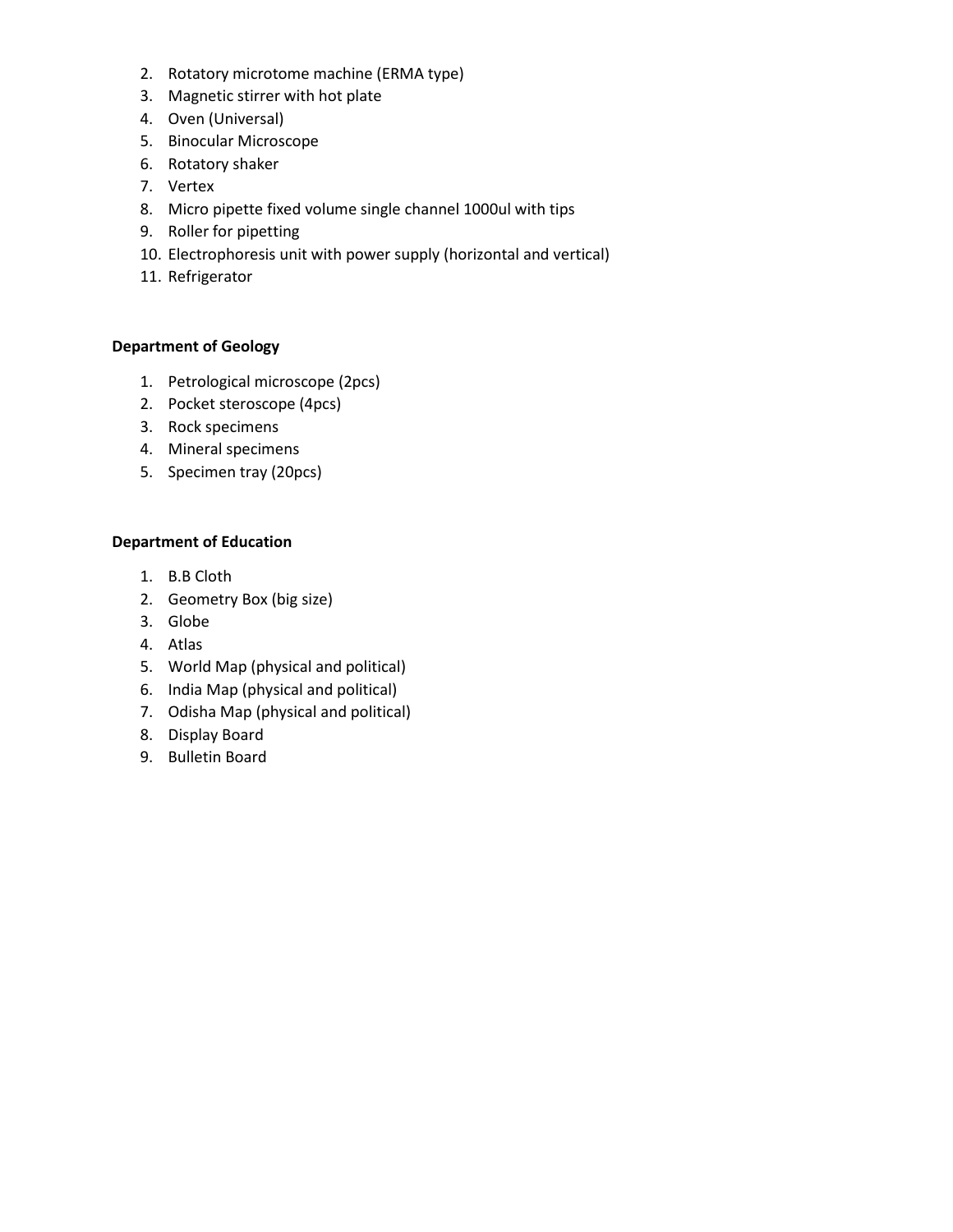- 2. Rotatory microtome machine (ERMA type)
- 3. Magnetic stirrer with hot plate
- 4. Oven (Universal)
- 5. Binocular Microscope
- 6. Rotatory shaker
- 7. Vertex
- 8. Micro pipette fixed volume single channel 1000ul with tips
- 9. Roller for pipetting
- 10. Electrophoresis unit with power supply (horizontal and vertical)
- 11. Refrigerator

### **Department of Geology**

- 1. Petrological microscope (2pcs)
- 2. Pocket steroscope (4pcs)
- 3. Rock specimens
- 4. Mineral specimens
- 5. Specimen tray (20pcs)

#### **Department of Education**

- 1. B.B Cloth
- 2. Geometry Box (big size)
- 3. Globe
- 4. Atlas
- 5. World Map (physical and political)
- 6. India Map (physical and political)
- 7. Odisha Map (physical and political)
- 8. Display Board
- 9. Bulletin Board